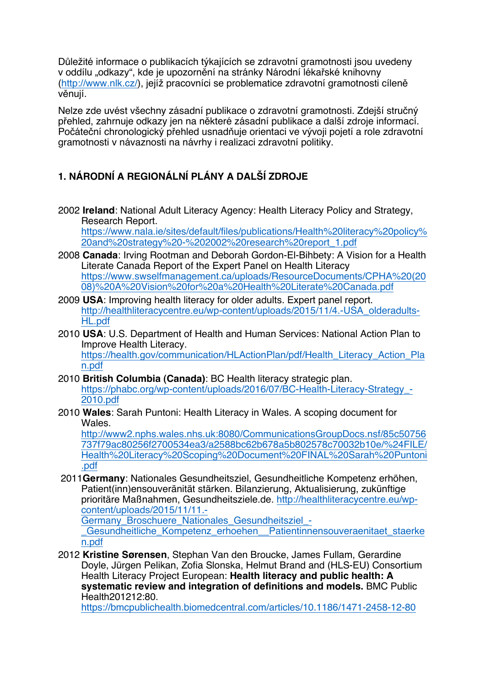Důležité informace o publikacích týkajících se zdravotní gramotnosti jsou uvedeny v oddílu "odkazy", kde je upozornění na stránky Národní lékařské knihovny (http://www.nlk.cz/), jejíž pracovníci se problematice zdravotní gramotnosti cíleně věnují.

Nelze zde uvést všechny zásadní publikace o zdravotní gramotnosti. Zdejší stručný přehled, zahrnuje odkazy jen na některé zásadní publikace a další zdroje informací. Počáteční chronologický přehled usnadňuje orientaci ve vývoji pojetí a role zdravotní gramotnosti v návaznosti na návrhy i realizaci zdravotní politiky.

## **1. NÁRODNÍ A REGIONÁLNÍ PLÁNY A DALŠÍ ZDROJE**

2002 **Ireland**: National Adult Literacy Agency: Health Literacy Policy and Strategy, Research Report.

https://www.nala.ie/sites/default/files/publications/Health%20literacy%20policy% 20and%20strategy%20-%202002%20research%20report\_1.pdf

- 2008 **Canada**: Irving Rootman and Deborah Gordon-El-Bihbety: A Vision for a Health Literate Canada Report of the Expert Panel on Health Literacy https://www.swselfmanagement.ca/uploads/ResourceDocuments/CPHA%20(20 08)%20A%20Vision%20for%20a%20Health%20Literate%20Canada.pdf
- 2009 **USA**: Improving health literacy for older adults. Expert panel report. http://healthliteracycentre.eu/wp-content/uploads/2015/11/4.-USA\_olderadults-HL.pdf
- 2010 **USA**: U.S. Department of Health and Human Services: National Action Plan to Improve Health Literacy.

https://health.gov/communication/HLActionPlan/pdf/Health\_Literacy\_Action\_Pla n.pdf

- 2010 **British Columbia (Canada)**: BC Health literacy strategic plan. https://phabc.org/wp-content/uploads/2016/07/BC-Health-Literacy-Strategy -2010.pdf
- 2010 **Wales**: Sarah Puntoni: Health Literacy in Wales. A scoping document for **Wales**

http://www2.nphs.wales.nhs.uk:8080/CommunicationsGroupDocs.nsf/85c50756 737f79ac80256f2700534ea3/a2588bc62b678a5b802578c70032b10e/%24FILE/ Health%20Literacy%20Scoping%20Document%20FINAL%20Sarah%20Puntoni .pdf

2011**Germany**: Nationales Gesundheitsziel, Gesundheitliche Kompetenz erhöhen, Patient(inn)ensouveränität stärken. Bilanzierung, Aktualisierung, zukünftige prioritäre Maßnahmen, Gesundheitsziele.de. http://healthliteracycentre.eu/wpcontent/uploads/2015/11/11.-

Germany\_Broschuere\_Nationales\_Gesundheitsziel\_-

Gesundheitliche Kompetenz erhoehen Patientinnensouveraenitaet staerke n.pdf

2012 **Kristine Sørensen**, Stephan Van den Broucke, James Fullam, Gerardine Doyle, Jürgen Pelikan, Zofia Slonska, Helmut Brand and (HLS-EU) Consortium Health Literacy Project European: **Health literacy and public health: A systematic review and integration of definitions and models.** BMC Public Health201212:80.

https://bmcpublichealth.biomedcentral.com/articles/10.1186/1471-2458-12-80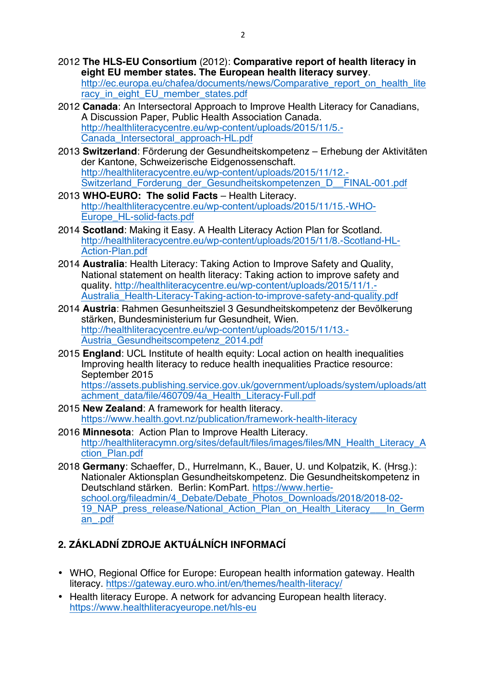2012 **The HLS-EU Consortium** (2012): **Comparative report of health literacy in eight EU member states. The European health literacy survey**.

http://ec.europa.eu/chafea/documents/news/Comparative\_report\_on\_health\_lite racy\_in\_eight\_EU\_member\_states.pdf

- 2012 **Canada**: An Intersectoral Approach to Improve Health Literacy for Canadians, A Discussion Paper, Public Health Association Canada. http://healthliteracycentre.eu/wp-content/uploads/2015/11/5.- Canada\_Intersectoral\_approach-HL.pdf
- 2013 **Switzerland**: Förderung der Gesundheitskompetenz Erhebung der Aktivitäten der Kantone, Schweizerische Eidgenossenschaft. http://healthliteracycentre.eu/wp-content/uploads/2015/11/12.- Switzerland\_Forderung\_der\_Gesundheitskompetenzen\_D\_\_FINAL-001.pdf
- 2013 **WHO-EURO: The solid Facts** Health Literacy. http://healthliteracycentre.eu/wp-content/uploads/2015/11/15.-WHO-Europe\_HL-solid-facts.pdf
- 2014 **Scotland**: Making it Easy. A Health Literacy Action Plan for Scotland. http://healthliteracycentre.eu/wp-content/uploads/2015/11/8.-Scotland-HL-Action-Plan.pdf
- 2014 **Australia**: Health Literacy: Taking Action to Improve Safety and Quality, National statement on health literacy: Taking action to improve safety and quality. http://healthliteracycentre.eu/wp-content/uploads/2015/11/1.- Australia\_Health-Literacy-Taking-action-to-improve-safety-and-quality.pdf
- 2014 **Austria**: Rahmen Gesunheitsziel 3 Gesundheitskompetenz der Bevölkerung stärken, Bundesministerium fur Gesundheit, Wien. http://healthliteracycentre.eu/wp-content/uploads/2015/11/13.- Austria\_Gesundheitscompetenz\_2014.pdf
- 2015 **England**: UCL Institute of health equity: Local action on health inequalities Improving health literacy to reduce health inequalities Practice resource: September 2015

https://assets.publishing.service.gov.uk/government/uploads/system/uploads/att achment\_data/file/460709/4a\_Health\_Literacy-Full.pdf

- 2015 **New Zealand**: A framework for health literacy. https://www.health.govt.nz/publication/framework-health-literacy
- 2016 **Minnesota**: Action Plan to Improve Health Literacy. http://healthliteracymn.org/sites/default/files/images/files/MN\_Health\_Literacy\_A ction\_Plan.pdf
- 2018 **Germany**: Schaeffer, D., Hurrelmann, K., Bauer, U. und Kolpatzik, K. (Hrsg.): Nationaler Aktionsplan Gesundheitskompetenz. Die Gesundheitskompetenz in Deutschland stärken. Berlin: KomPart. https://www.hertieschool.org/fileadmin/4\_Debate/Debate\_Photos\_Downloads/2018/2018-02-19\_NAP\_press\_release/National\_Action\_Plan\_on\_Health\_Literacy\_\_\_In\_Germ an\_.pdf

## **2. ZÁKLADNÍ ZDROJE AKTUÁLNÍCH INFORMACÍ**

- WHO, Regional Office for Europe: European health information gateway. Health literacy. https://gateway.euro.who.int/en/themes/health-literacy/
- Health literacy Europe. A network for advancing European health literacy. https://www.healthliteracyeurope.net/hls-eu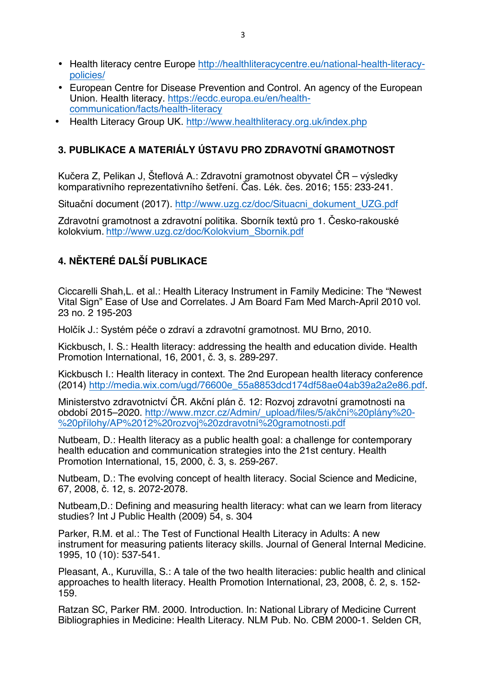- Health literacy centre Europe http://healthliteracycentre.eu/national-health-literacypolicies/
- European Centre for Disease Prevention and Control. An agency of the European Union. Health literacy. https://ecdc.europa.eu/en/healthcommunication/facts/health-literacy
- Health Literacy Group UK. http://www.healthliteracy.org.uk/index.php

## **3. PUBLIKACE A MATERIÁLY ÚSTAVU PRO ZDRAVOTNÍ GRAMOTNOST**

Kučera Z, Pelikan J, Šteflová A.: Zdravotní gramotnost obyvatel ČR – výsledky komparativního reprezentativního šetření. Čas. Lék. čes. 2016; 155: 233-241.

Situační document (2017). http://www.uzg.cz/doc/Situacni\_dokument\_UZG.pdf

Zdravotní gramotnost a zdravotní politika. Sborník textů pro 1. Česko-rakouské kolokvium. http://www.uzg.cz/doc/Kolokvium\_Sbornik.pdf

## **4. NĚKTERÉ DALŠÍ PUBLIKACE**

Ciccarelli Shah,L. et al.: Health Literacy Instrument in Family Medicine: The "Newest Vital Sign" Ease of Use and Correlates. J Am Board Fam Med March-April 2010 vol. 23 no. 2 195-203

Holčík J.: Systém péče o zdraví a zdravotní gramotnost. MU Brno, 2010.

Kickbusch, I. S.: Health literacy: addressing the health and education divide. Health Promotion International, 16, 2001, č. 3, s. 289-297.

Kickbusch I.: Health literacy in context. The 2nd European health literacy conference (2014) http://media.wix.com/ugd/76600e\_55a8853dcd174df58ae04ab39a2a2e86.pdf.

Ministerstvo zdravotnictví ČR. Akční plán č. 12: Rozvoj zdravotní gramotnosti na období 2015–2020. http://www.mzcr.cz/Admin/\_upload/files/5/akční%20plány%20- %20přílohy/AP%2012%20rozvoj%20zdravotní%20gramotnosti.pdf

Nutbeam, D.: Health literacy as a public health goal: a challenge for contemporary health education and communication strategies into the 21st century. Health Promotion International, 15, 2000, č. 3, s. 259-267.

Nutbeam, D.: The evolving concept of health literacy. Social Science and Medicine, 67, 2008, č. 12, s. 2072-2078.

Nutbeam,D.: Defining and measuring health literacy: what can we learn from literacy studies? Int J Public Health (2009) 54, s. 304

Parker, R.M. et al.: The Test of Functional Health Literacy in Adults: A new instrument for measuring patients literacy skills. Journal of General Internal Medicine. 1995, 10 (10): 537-541.

Pleasant, A., Kuruvilla, S.: A tale of the two health literacies: public health and clinical approaches to health literacy. Health Promotion International, 23, 2008, č. 2, s. 152- 159.

Ratzan SC, Parker RM. 2000. Introduction. In: National Library of Medicine Current Bibliographies in Medicine: Health Literacy. NLM Pub. No. CBM 2000-1. Selden CR,